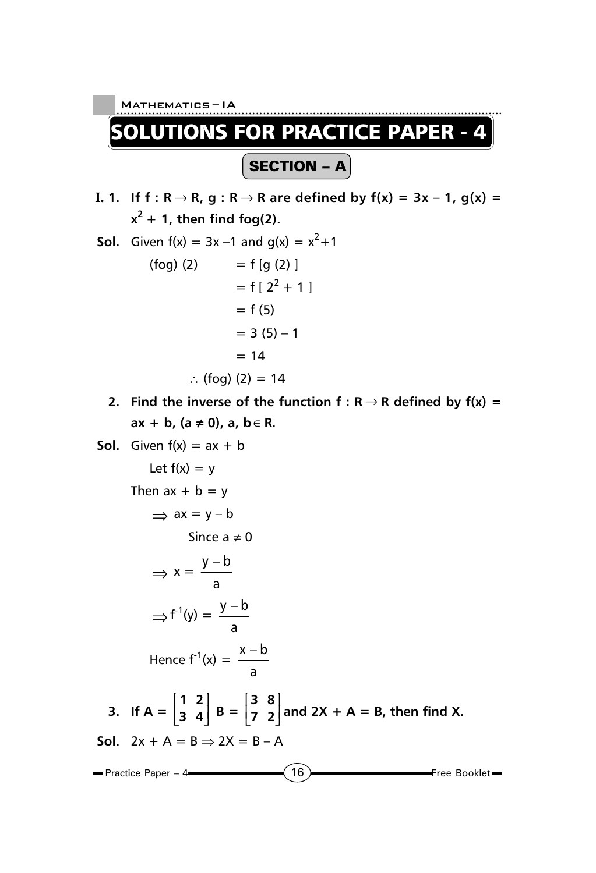

$$
\Rightarrow x = \frac{y - b}{a}
$$
  
\n
$$
\Rightarrow f^{-1}(y) = \frac{y - b}{a}
$$
  
\nHence  $f^{-1}(x) = \frac{x - b}{a}$   
\n3. If  $A = \begin{bmatrix} 1 & 2 \\ 3 & 4 \end{bmatrix}$   $B = \begin{bmatrix} 3 & 8 \\ 7 & 2 \end{bmatrix}$  and  $2X + A = B$ , then find X.  
\nSoI.  $2x + A = B \Rightarrow 2X = B - A$   
\nPractice Paper - 4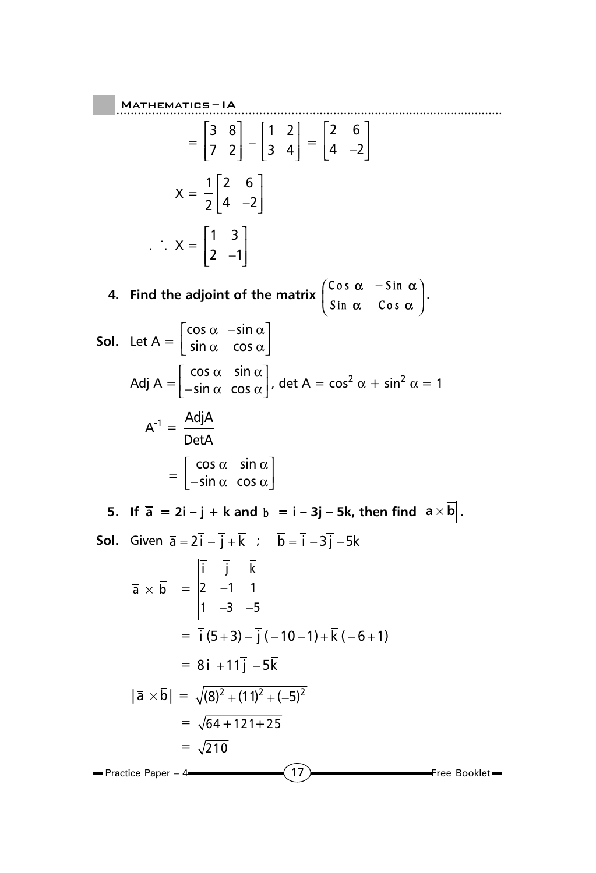17 Free Booklet ..................................................... Mathematics ......................................................... – IA  $\blacksquare$  Practice Paper – 4 $\blacksquare$  $=\begin{vmatrix} 3 & 8 \\ 7 & 2 \end{vmatrix}$  $\begin{bmatrix} 3 & 8 \\ 7 & 2 \end{bmatrix} - \begin{bmatrix} 1 & 2 \\ 3 & 4 \end{bmatrix}$  $\begin{vmatrix} 1 & 2 \end{vmatrix}$  $\begin{bmatrix} 3 & 4 \end{bmatrix}$  $=\begin{vmatrix} 2 & 6 \\ 4 & -2 \end{vmatrix}$  $\begin{array}{ccc} \vert 2 & 6 \vert \end{array}$  $\begin{bmatrix} 4 & -2 \end{bmatrix}$  $X = \frac{1}{2} \begin{bmatrix} 2 & 6 \\ 4 & 2 \end{bmatrix}$  $2[4 -2$ |26|  $\begin{bmatrix} 4 & -2 \end{bmatrix}$  $\therefore$  X =  $\begin{bmatrix} 1 & 3 \\ 2 & 3 \end{bmatrix}$  $2 -1$ |13|  $\begin{bmatrix} 2 & -1 \end{bmatrix}$ **4.** Find the adjoint of the matrix  $\begin{pmatrix} \cos \alpha & -\sin \alpha \\ \sin \alpha & \cos \alpha \end{pmatrix}$ <mark>Sin α</mark> Cos  $\begin{pmatrix} \alpha & -\sin \alpha \\ \alpha & \cos \alpha \end{pmatrix}$ . **Sol.** Let A =  $\cos \alpha$  –sin  $\sin \alpha$  cos  $\vert$  cos  $\alpha_--$ sin  $\alpha\,\vert$  $\lfloor$  sin  $\alpha$  acos  $\alpha$   $\rfloor$ Adj A =  $\cos \alpha$  sin  $\sin \alpha$  cos  $\begin{bmatrix} \cos \alpha & \sin \alpha \\ -\sin \alpha & \cos \alpha \end{bmatrix}$ , det A = cos<sup>2</sup>  $\alpha$  + sin<sup>2</sup>  $\alpha$  = 1  $A^{-1} = \frac{Adj A}{\sqrt{1 - A^{2}}}$ DetA  $=\begin{bmatrix} \cos \alpha & \sin \alpha \\ -\sin \alpha & \cos \alpha \end{bmatrix}$  $\vert \hspace{0.1cm} \cos \alpha \hspace{0.1cm} \sin \alpha \hspace{0.1cm} \vert$  $\lfloor$ −sin $\,\alpha\,\,\cos\alpha\rfloor$ **5.** If  $\overline{a} = 2i - j + k$  and  $\overline{b} = i - 3j - 5k$ , then find  $|\overline{a} \times \overline{b}|$ . **Sol.** Given  $\overline{a} = 2i - j + k$  ;  $b = i - 3j - 5k$  $\overline{a} \times b =$ ijk  $2 -1 1$  $1 -3 -5$ − −3 −  $= \overline{i}(5+3) - \overline{i}(-10-1) + \overline{k}(-6+1)$  $= 8\bar{i} + 11\bar{i} - 5\bar{k}$  $|\bar{a} \times \bar{b}| = \sqrt{(8)^2 + (11)^2 + (-5)^2}$  $= \sqrt{64 + 121 + 25}$  $= \sqrt{210}$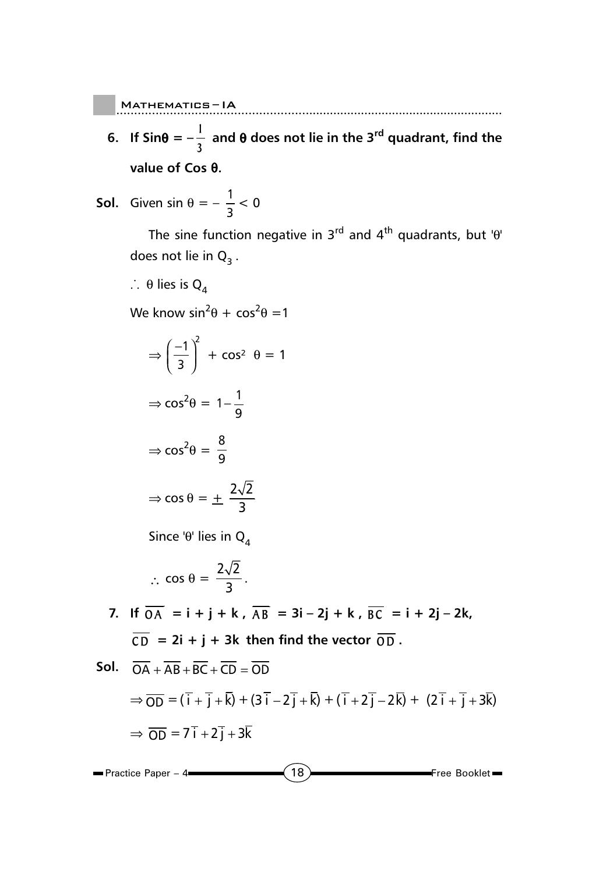$\blacksquare$  MATHEMATICS-IA

**6.** If Sin $\theta = -\frac{1}{2}$ **3 and** θ **does not lie in the 3rd quadrant, find the value of Cos** θ**.**

Mathematics ......................................................... – IA

**Sol.** Given sin  $\theta = -\frac{1}{3} < 0$ 

The sine function negative in  $3^{rd}$  and  $4^{th}$  quadrants, but 'θ' does not lie in  $Q_3$ .

 $\therefore$  θ lies is Q<sub>4</sub>

We know  $\sin^2\theta + \cos^2\theta = 1$ 

$$
\Rightarrow \left(\frac{-1}{3}\right)^2 + \cos^2 \theta = 1
$$

$$
\Rightarrow \cos^2 \theta = 1 - \frac{1}{9}
$$

$$
\Rightarrow \cos^2 \theta = \frac{8}{9}
$$

$$
\Rightarrow \cos \theta = \pm \frac{2\sqrt{2}}{3}
$$

Since 'θ' lies in  $Q_4$ 

$$
\therefore \cos \theta = \frac{2\sqrt{2}}{3}.
$$

**7.** If  $\overline{OA} = i + j + k$ ,  $\overline{AB} = 3i - 2j + k$ ,  $\overline{BC} = i + 2j - 2k$ ,  $\overline{CD}$  = 2i + j + 3k then find the vector  $\overline{OD}$ .

**Sol.**  $\overline{OA} + \overline{AB} + \overline{BC} + \overline{CD} = \overline{OD}$  $\Rightarrow$   $\overline{OD} = (\overline{i} + \overline{j} + \overline{k}) + (3\overline{i} - 2\overline{j} + \overline{k}) + (\overline{i} + 2\overline{j} - 2\overline{k}) + (2\overline{i} + \overline{j} + 3\overline{k})$  $\Rightarrow$   $\overline{OD}$  =  $7\overline{i}$  +  $2\overline{i}$  +  $3\overline{k}$ 

18 Free Booklet Practice Paper – 4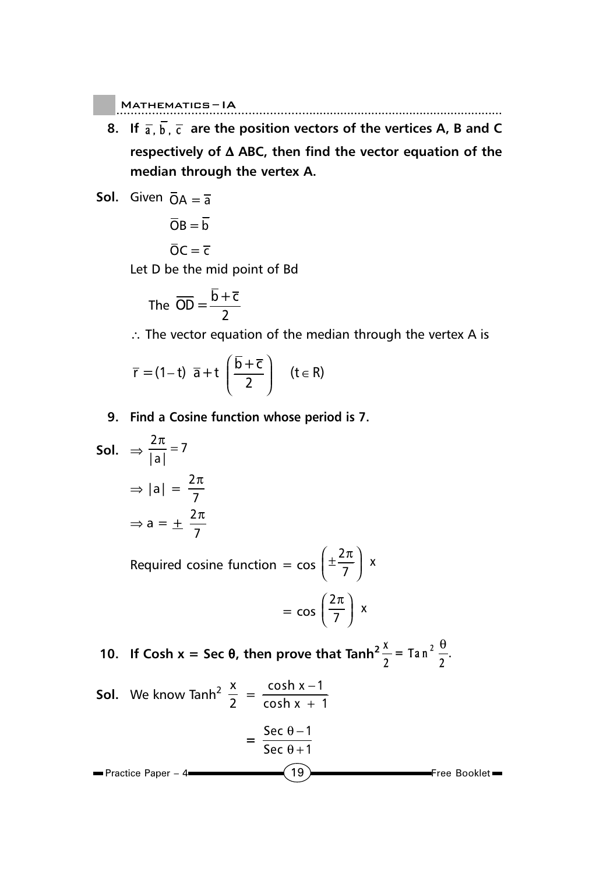$\blacksquare$  MATHEMATICS-IA

**8.** If  $\overline{a}$ ,  $\overline{b}$ ,  $\overline{c}$  are the position vectors of the vertices A, B and C **respectively of** ∆ **ABC, then find the vector equation of the median through the vertex A.**

Mathematics ......................................................... – IA

**Sol.** Given  $\overline{OA} = \overline{a}$ 

$$
\overline{O}B=\overline{b}
$$

$$
\overline{O}C = \overline{c}
$$

Let D be the mid point of Bd

The 
$$
\overline{OD} = \frac{\overline{b} + \overline{c}}{2}
$$

π

∴ The vector equation of the median through the vertex A is

$$
\overline{r} = (1-t) \ \overline{a} + t \left( \frac{\overline{b} + \overline{c}}{2} \right) \quad (t \in R)
$$

**9. Find a Cosine function whose period is 7.**

Sol.

\n
$$
\Rightarrow \frac{2\pi}{|a|} = 7
$$
\n
$$
\Rightarrow |a| = \frac{2\pi}{7}
$$
\n
$$
\Rightarrow a = \pm \frac{2\pi}{7}
$$

Required cosine function  $=$  cos  $\left(\pm \frac{2\pi}{7}\right)$  x

$$
= \cos\left(\frac{2\pi}{7}\right) x
$$

**10.** If Cosh  $x = \text{Sec } \theta$ , then prove that  $\text{Tanh}^2 \frac{x}{2} = \text{Tan}^2 \frac{\theta}{2}$ .

**Sol.** We know 
$$
\tanh^2 \frac{x}{2} = \frac{\cosh x - 1}{\cosh x + 1}
$$

\n
$$
= \frac{\sec \theta - 1}{\sec \theta + 1}
$$

\nPractice Paper - 4

\n**19**

\nFree Booklet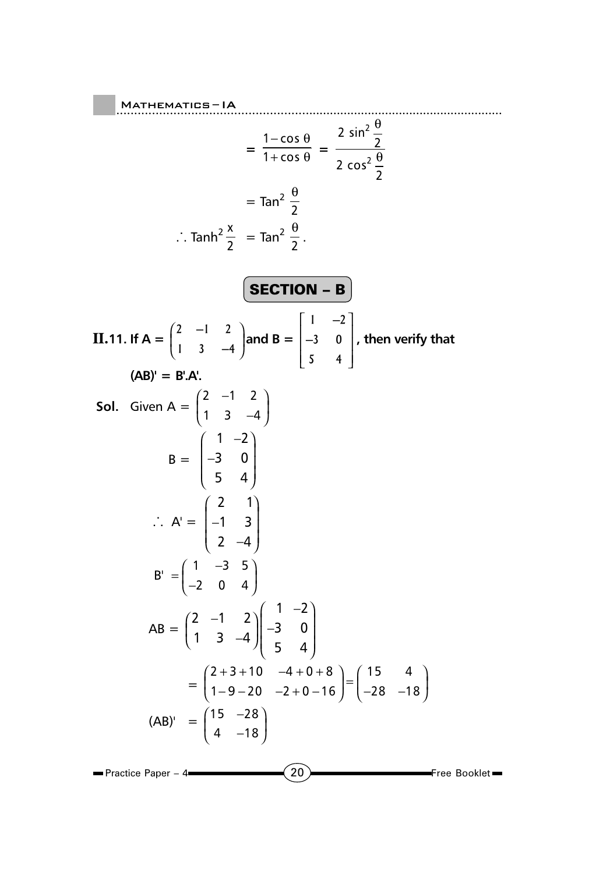20 **Free Booklet** ..................................................... Mathematics ......................................................... – IA Practice Paper – 4 **=**   $1 - \cos$  $1 + cos$  $-$  cos  $\theta$  $+\cos \theta =$ 2 2  $rac{2 \sin^2 \frac{3}{2}}{2}$  $2 \cos^2 \frac{9}{2}$ θ θ  $=$  Tan<sup>2</sup> $\frac{0}{2}$ θ  $\therefore$  Tanh<sup>2</sup> $\frac{x}{2}$  = Tan<sup>2</sup> $\frac{\theta}{2}$ . SECTION – B **II. 11.** If  $A = \begin{pmatrix} 2 & -1 & 2 \\ 1 & 3 & -4 \end{pmatrix}$ **13 4**  $\begin{pmatrix} -1 & 2 \\ 3 & -4 \end{pmatrix}$  and B =  $\begin{vmatrix} 1 & -2 \end{vmatrix}$  $\vert$   $\vert$   $\vert$   $\vert$   $\vert$   $\vert$ | U C C C C C C C  $\begin{bmatrix} 5 & 4 \end{bmatrix}$  $1 -2$ **3 0 5 4** − − **, then verify that (AB)' = B'.A'. Sol.** Given A =  $\begin{pmatrix} 2 & -1 & 2 \\ 1 & 2 & 1 \end{pmatrix}$  $\begin{pmatrix} 2 & -1 & 2 \\ 1 & 3 & -4 \end{pmatrix}$  $B =$  $1 -2$ 3 0 5 4  $\begin{pmatrix} 1 & -2 \\ 2 & 0 \end{pmatrix}$  $\begin{pmatrix} -3 & 0 \\ 5 & 4 \end{pmatrix}$  $\therefore$  A' = 2 1  $1<sup>3</sup>$ 2  $-4$  $\begin{pmatrix} 2 & 1 \\ 1 & 2 \end{pmatrix}$  $\begin{pmatrix} -1 & 3 \\ 2 & -4 \end{pmatrix}$  $B' = \begin{pmatrix} 1 & -3 & 5 \\ -2 & 0 & 4 \end{pmatrix}$  $AB = \begin{pmatrix} 2 & -1 & 2 \\ 1 & 3 & -4 \end{pmatrix} \begin{pmatrix} 1 & -2 \\ -3 & 0 \\ 5 & 4 \end{pmatrix}$  $=\begin{pmatrix} 2+3+10 & -4+0+8 \\ 1-9-20 & -2+0-16 \end{pmatrix} = \begin{pmatrix} 15 & 4 \\ -28 & -18 \end{pmatrix}$  $\begin{pmatrix} 2+3+10 & -4+0+8 \\ 1-9-20 & -2+0-16 \end{pmatrix} = \begin{pmatrix} 15 & 4 \\ -28 & -18 \end{pmatrix}$  $(AB)' = \begin{pmatrix} 15 & -28 \\ 1 & 15 \end{pmatrix}$  $\left(\begin{matrix} 15 & -28\ 4 & -18 \end{matrix}\right)$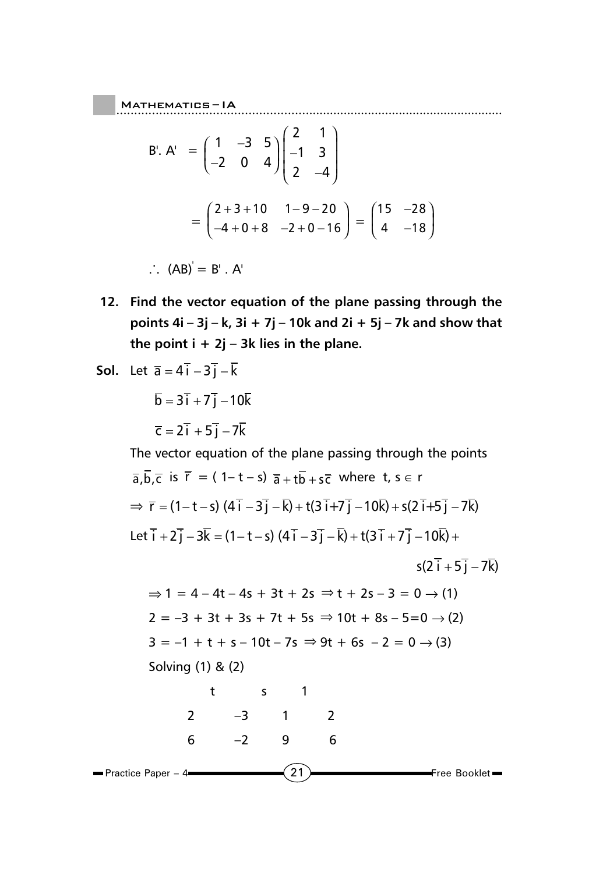B'. A' = 
$$
\begin{pmatrix} 1 & -3 & 5 \\ -2 & 0 & 4 \end{pmatrix} \begin{pmatrix} 2 & 1 \\ -1 & 3 \\ 2 & -4 \end{pmatrix}
$$
  
=  $\begin{pmatrix} 2+3+10 & 1-9-20 \\ -4+0+8 & -2+0-16 \end{pmatrix} = \begin{pmatrix} 15 & -28 \\ 4 & -18 \end{pmatrix}$ 

Mathematics ......................................................... – IA

 $\therefore$  (AB) = B' . A'

**12. Find the vector equation of the plane passing through the points 4i – 3j – k, 3i + 7j – 10k and 2i + 5j – 7k and show that the point i + 2j – 3k lies in the plane.**

**Sol.** Let 
$$
\overline{a} = 4\overline{i} - 3\overline{j} - \overline{k}
$$

$$
\overline{b} = 3\overline{i} + 7\overline{j} - 10\overline{k}
$$

$$
\overline{c} = 2\overline{i} + 5\overline{j} - 7\overline{k}
$$

The vector equation of the plane passing through the points

$$
\overline{a}, \overline{b}, \overline{c} \text{ is } \overline{r} = (1 - t - s) \overline{a} + t\overline{b} + s\overline{c} \text{ where } t, s \in r
$$
  
\n⇒  $\overline{r} = (1 - t - s) (4\overline{i} - 3\overline{j} - \overline{k}) + t(3\overline{i} + 7\overline{j} - 10\overline{k}) + s(2\overline{i} + 5\overline{j} - 7\overline{k})$   
\nLet  $\overline{i} + 2\overline{j} - 3\overline{k} = (1 - t - s) (4\overline{i} - 3\overline{j} - \overline{k}) + t(3\overline{i} + 7\overline{j} - 10\overline{k}) + s(2\overline{i} + 5\overline{j} - 7\overline{k})$   
\n⇒ 1 = 4 - 4t - 4s + 3t + 2s ⇒ t + 2s - 3 = 0 → (1)  
\n2 = -3 + 3t + 3s + 7t + 5s ⇒ 10t + 8s - 5 = 0 → (2)  
\n3 = -1 + t + s - 10t - 7s ⇒ 9t + 6s - 2 = 0 → (3)

Solving (1) & (2)

21 Free Booklet Practice Paper – 4 t s 1 2 –3 1 2 6 –2 9 6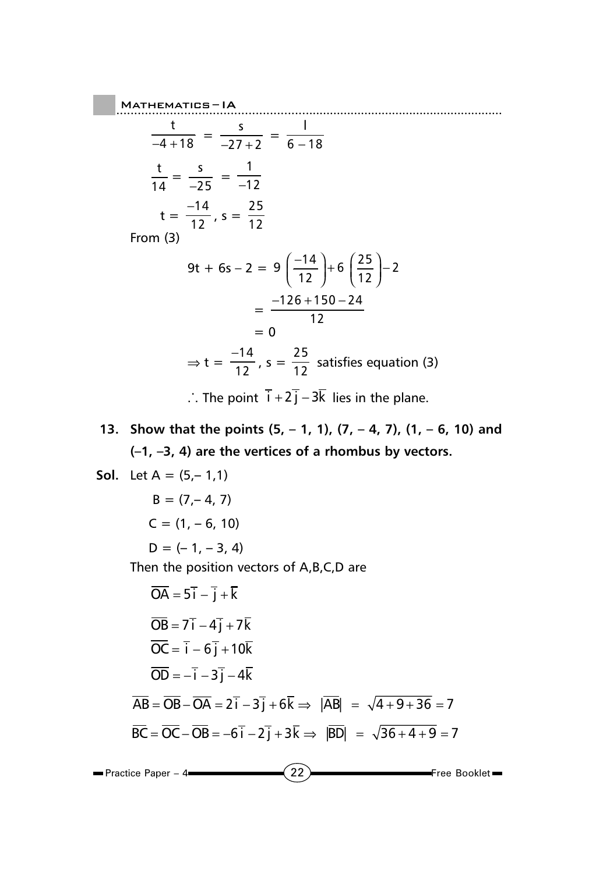## $M$ ATHEMATICS-IA Mathematics ......................................................... – IA t  $\frac{t}{-4+18} = \frac{s}{-27+2} = \frac{1}{6-18}$ t  $\frac{t}{14} = \frac{s}{-25} = \frac{1}{-12}$  $t = \frac{-14}{12}, s = \frac{25}{12}$  $12$ From (3) 9t + 6s - 2 = 9 $\left(\frac{-14}{12}\right)$ + 6 $\left(\frac{25}{12}\right)$ -2  $=\frac{-126+150-24}{12}$ −126+150−  $-$  0  $\Rightarrow$  t =  $\frac{-14}{12}$ , s =  $\frac{25}{12}$  satisfies equation (3)

∴ The point  $\overline{i} + 2\overline{j} - 3\overline{k}$  lies in the plane.

**13. Show that the points (5, – 1, 1), (7, – 4, 7), (1, – 6, 10) and (–1, –3, 4) are the vertices of a rhombus by vectors.**

**Sol.** Let 
$$
A = (5,-1,1)
$$

\n $B = (7,-4, 7)$ 

\n $C = (1, -6, 10)$ 

\n $D = (-1, -3, 4)$ 

\nThen the position vectors of A, B, C, D are

\n $\overline{OA} = 5\overline{i} - \overline{j} + \overline{k}$ 

\n $\overline{OB} = 7\overline{i} - 4\overline{j} + 7\overline{k}$ 

\n $\overline{OC} = \overline{i} - 6\overline{j} + 10\overline{k}$ 

\n $\overline{OD} = -\overline{i} - 3\overline{j} - 4\overline{k}$ 

\n $\overline{AB} = \overline{OB} - \overline{OA} = 2\overline{i} - 3\overline{j} + 6\overline{k} \Rightarrow |\overline{AB}| = \sqrt{4 + 9 + 36} = 7$ 

\n $\overline{BC} = \overline{OC} - \overline{OB} = -6\overline{i} - 2\overline{j} + 3\overline{k} \Rightarrow |\overline{BD}| = \sqrt{36 + 4 + 9} = 7$ 

22 **Free Booklet Practice Paper – 4**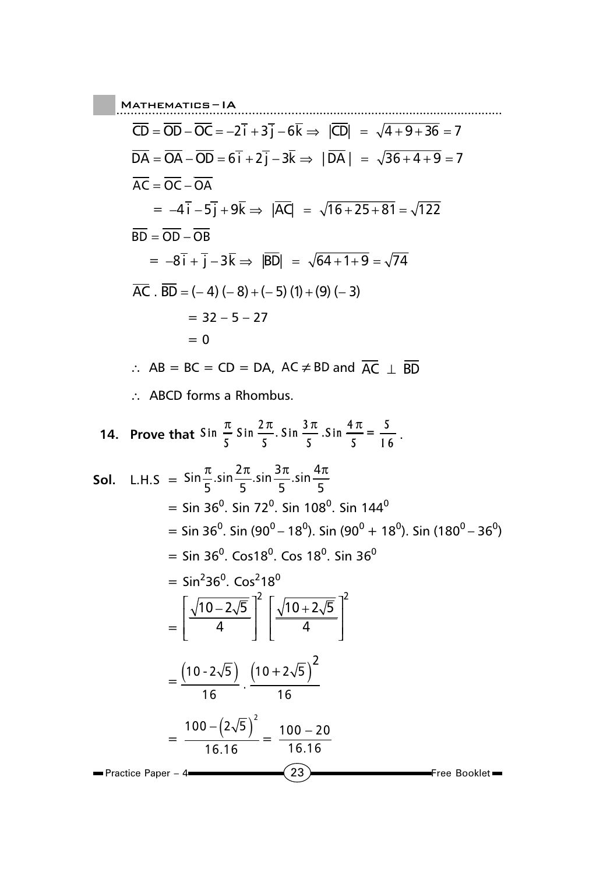..................................................... Mathematics ......................................................... – IA  $CD = OD - OC = -2i + 3j - 6k \Rightarrow |CD| = \sqrt{4+9+36} = 7$  $DA = OA - OD = 6i + 2j - 3k \Rightarrow |DA| = \sqrt{36 + 4 + 9} = 7$  $\overline{AC} = \overline{OC} - \overline{OA}$  $= -4i - 5j + 9k \Rightarrow |AQ = \sqrt{16 + 25 + 81} = \sqrt{122}$  $\overline{BD} = \overline{OD} - \overline{OB}$  $= -8i + j - 3k \Rightarrow |BD| = \sqrt{64 + 1 + 9} = \sqrt{74}$  $AC : BD = (-4) (-8) + (-5) (1) + (9) (-3)$  $= 32 - 5 - 27$  $= 0$ ∴ AB = BC = CD = DA, AC  $\neq$  BD and  $\overline{AC}$   $\perp$  BD ∴ ABCD forms a Rhombus.

**14.** Prove that 
$$
\sin \frac{\pi}{5} \sin \frac{2\pi}{5}
$$
.  $\sin \frac{3\pi}{5}$ .  $\sin \frac{4\pi}{5} = \frac{5}{16}$ .

**Sol.** L.H.S = 
$$
\sin \frac{\pi}{5} \cdot \sin \frac{2\pi}{5} \cdot \sin \frac{3\pi}{5} \cdot \sin \frac{4\pi}{5}
$$
  
\n=  $\sin 36^\circ$ .  $\sin 72^\circ$ .  $\sin 108^\circ$ .  $\sin 144^\circ$   
\n=  $\sin 36^\circ$ .  $\sin (90^\circ - 18^\circ)$ .  $\sin (90^\circ + 18^\circ)$ .  $\sin (180^\circ - 36^\circ)$   
\n=  $\sin 36^\circ$ .  $\cos 18^\circ$ .  $\cos 18^\circ$ .  $\sin 36^\circ$   
\n=  $\sin^2 36^\circ$ .  $\cos^2 18^\circ$   
\n=  $\left[\frac{\sqrt{10-2\sqrt{5}}}{4}\right]^2 \left[\frac{\sqrt{10+2\sqrt{5}}}{4}\right]^2$   
\n=  $\frac{(10-2\sqrt{5})}{16} \cdot \frac{(10+2\sqrt{5})^2}{16}$   
\n=  $\frac{100-(2\sqrt{5})^2}{16 \cdot 16} = \frac{100-20}{16 \cdot 16}$   
\n= Practice Paper - 4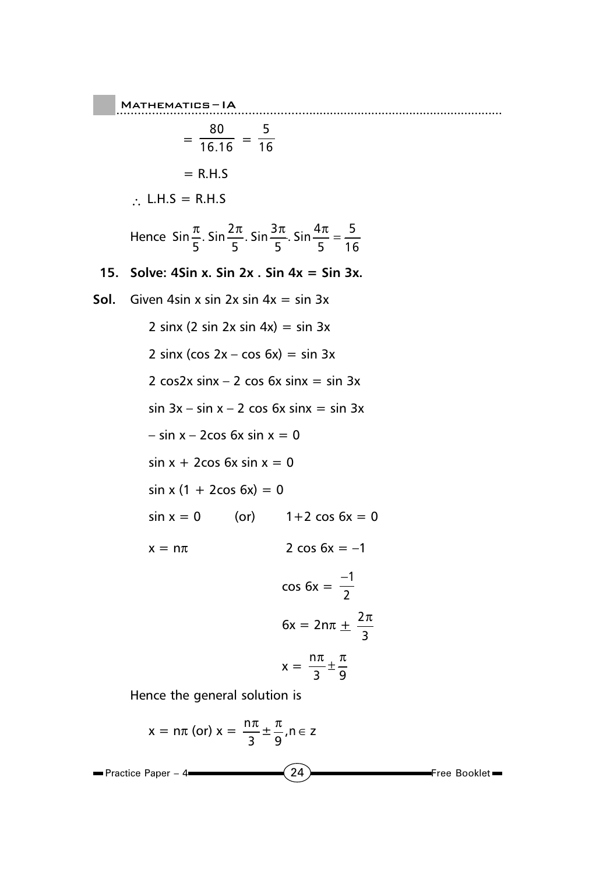$M$ ATHEMATICS-IA

$$
= \frac{80}{16.16} = \frac{5}{16}
$$

$$
= R.H.S
$$

∴ L.H.S = R.H.S

Hence  $\sin \frac{\pi}{5}$ . Sin  $\frac{2\pi}{5}$ . Sin  $\frac{3\pi}{5}$ . Sin  $\frac{4\pi}{5}$  =  $\frac{5\pi}{16}$  $\frac{\pi}{\pi}$ . Sin  $\frac{2\pi}{\pi}$ . Sin  $\frac{3\pi}{\pi}$ . Sin  $\frac{4\pi}{\pi}$  =

Mathematics ......................................................... – IA

## **15. Solve: 4Sin x. Sin 2x . Sin 4x = Sin 3x.**

- **Sol.** Given 4sin x sin  $2x \sin 4x = \sin 3x$ 
	- 2 sinx (2 sin 2x sin 4x) = sin 3x 2 sinx (cos  $2x - \cos 6x$ ) = sin 3x
		- 2  $\cos 2x \sin x 2 \cos 6x \sin x = \sin 3x$
		- $sin 3x sin x 2 cos 6x sin x = sin 3x$
		- $-$  sin  $x 2\cos 6x \sin x = 0$
		- $sin x + 2cos 6x sin x = 0$
		- $sin x (1 + 2cos 6x) = 0$
		- $sin x = 0$  (or)  $1+2 cos 6x = 0$
		- $x = n\pi$  2 cos 6x = -1

$$
\cos 6x = \frac{-1}{2}
$$

$$
6x = 2n\pi \pm \frac{2\pi}{3}
$$

$$
x = \frac{n\pi}{3} \pm \frac{\pi}{9}
$$

Hence the general solution is

$$
x = n\pi \text{ (or) } x = \frac{n\pi}{3} \pm \frac{\pi}{9}, n \in \mathbb{Z}
$$
\nPractice Paper - 4

\n**Exercise 24)**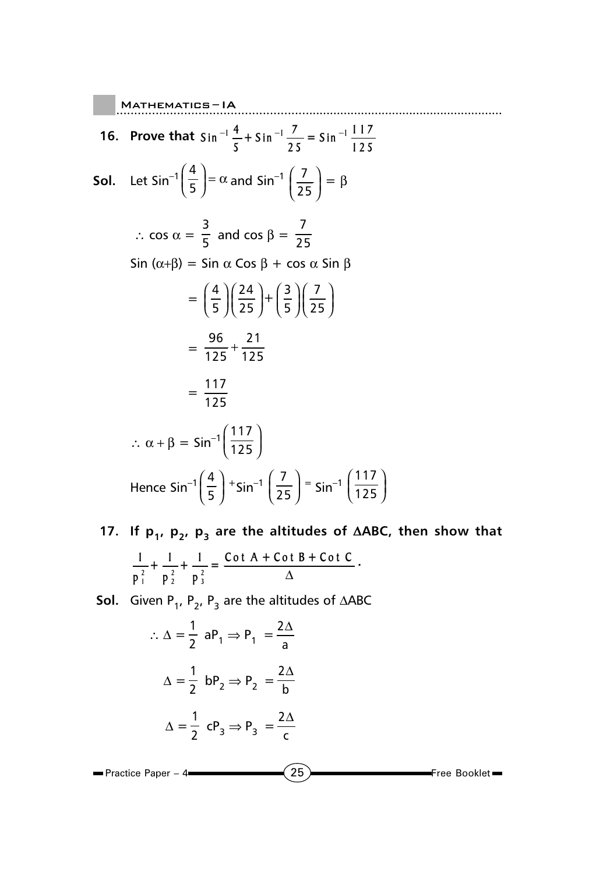..................................................... Mathematics ......................................................... – IA **16.** Prove that  $\sin^{-1}\frac{4}{5} + \sin^{-1}\frac{7}{25} = \sin^{-1}\frac{117}{125}$ **Sol.** Let Sin<sup>-1</sup> $\left(\frac{4}{5}\right) = \alpha$  and Sin<sup>-1</sup>  $\left(\frac{7}{25}\right) = \beta$ ∴ cos  $\alpha = \frac{3}{5}$  and cos  $\beta = \frac{7}{25}$ Sin ( $\alpha + \beta$ ) = Sin  $\alpha$  Cos  $\beta$  + cos  $\alpha$  Sin  $\beta$  $= \left(\frac{4}{5}\right)\left(\frac{24}{25}\right)+\left(\frac{3}{5}\right)\left(\frac{7}{25}\right)$  $=\frac{96}{125}+\frac{21}{125}$ +  $=\frac{117}{125}$  $\therefore$  α + β = Sin<sup>-1</sup>  $\left(\frac{117}{125}\right)$ Hence Sin<sup>-1</sup>  $\left(\frac{4}{5}\right)^{+}$ Sin<sup>-1</sup>  $\left(\frac{7}{25}\right)^{=}$  Sin<sup>-1</sup>  $\left(\frac{117}{125}\right)^{+}$ 

17. If p<sub>1</sub>, p<sub>2</sub>, p<sub>3</sub> are the altitudes of ∆ABC, then show that  $\frac{2}{1}$  **p**<sub>2</sub><sup>2</sup> **p**<sub>3</sub><sup>2</sup> **123**  $\frac{1}{2} + \frac{1}{2} + \frac{1}{3} = \frac{\cot A + \cot B + \cot C}{4}$  $p_1^2$   $p_2^2$  p **.**

**Sol.** Given P<sub>1</sub>, P<sub>2</sub>, P<sub>3</sub> are the altitudes of  $\triangle ABC$ 

$$
\therefore \Delta = \frac{1}{2} \text{ aP}_1 \Rightarrow \text{P}_1 = \frac{2\Delta}{\text{a}}
$$

$$
\Delta = \frac{1}{2} \text{ bP}_2 \Rightarrow \text{P}_2 = \frac{2\Delta}{\text{b}}
$$

$$
\Delta = \frac{1}{2} \text{ cP}_3 \Rightarrow \text{P}_3 = \frac{2\Delta}{\text{c}}
$$

$$
\blacksquare \text{Practice Paper - 4} \longrightarrow \hspace{1.5cm} \textbf{(25)} \longrightarrow \hspace{1.5cm} \text{Free Booklet} \blacksquare
$$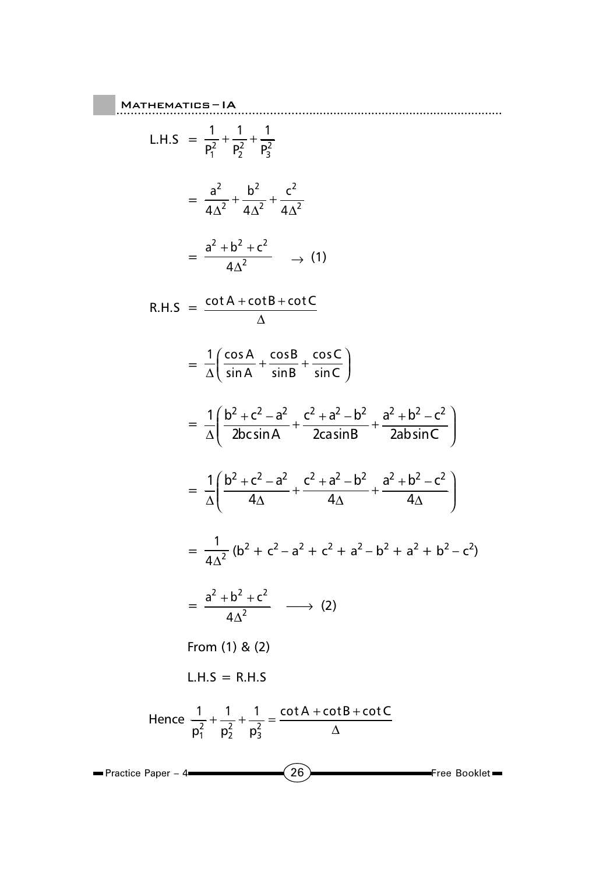## **MATHEMATICS-IA** L.H.S =  $\frac{1}{P_1^2} + \frac{1}{P_2^2} + \frac{1}{P_3^2}$  $= \frac{a^2}{4a^2} + \frac{b^2}{4a^2} + \frac{c^2}{4a^2}$  $=\frac{a^2 + b^2 + c^2}{4a^2}$   $\rightarrow$  (1) R.H.S =  $\frac{\cot A + \cot B + \cot C}{\Delta}$  $=\frac{1}{\Delta}\left(\frac{\cos A}{\sin A}+\frac{\cos B}{\sin B}+\frac{\cos C}{\sin C}\right)$  $= \frac{1}{\Delta} \left( \frac{b^2 + c^2 - a^2}{2bc \sin A} + \frac{c^2 + a^2 - b^2}{2ca \sin B} + \frac{a^2 + b^2 - c^2}{2ab \sin C} \right)$  $= \frac{1}{\Delta} \left( \frac{b^2 + c^2 - a^2}{4\Delta} + \frac{c^2 + a^2 - b^2}{4\Delta} + \frac{a^2 + b^2 - c^2}{4\Delta} \right)$  $= \frac{1}{4\Delta^2} (b^2 + c^2 - a^2 + c^2 + a^2 - b^2 + a^2 + b^2 - c^2)$  $=\frac{a^2+b^2+c^2}{4a^2} \longrightarrow (2)$ From  $(1)$  &  $(2)$  $L.H.S = R.H.S$ Hence  $\frac{1}{n^2} + \frac{1}{n^2} + \frac{1}{n^2} = \frac{\cot A + \cot B + \cot C}{\Delta}$  $\blacksquare$  Practice Paper - 4  $\left(26\right)$ Free Booklet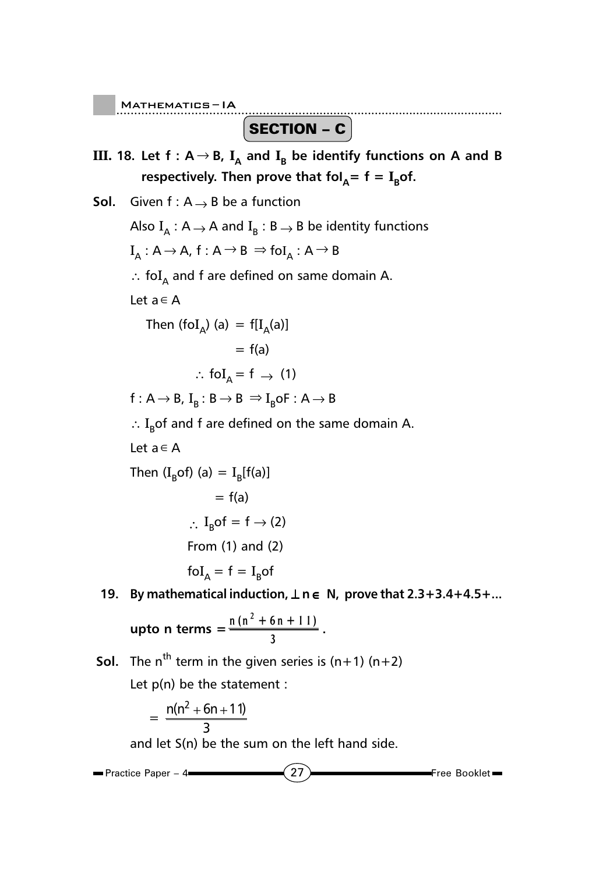..................................................... Mathematics ......................................................... – IA

SECTION – C

**III.** 18. Let  $f: A \rightarrow B$ ,  $I_A$  and  $I_B$  be identify functions on A and B respectively. Then prove that  $fol<sub>A</sub> = f = I<sub>B</sub> of.$ 

**Sol.** Given  $f: A \rightarrow B$  be a function Also  $I_{\Delta}$  : A  $\rightarrow$  A and  $I_{\beta}$  : B  $\rightarrow$  B be identity functions  $I_A: A \rightarrow A$ ,  $f: A \rightarrow B \Rightarrow f \circ I_A: A \rightarrow B$ ∴ foI<sub>A</sub> and f are defined on same domain A. Let a∈A Then (fo $\mathrm{I}_{\mathsf{A}}$ ) (a) = f[ $\mathrm{I}_{\mathsf{A}}$ (a)]  $= f(a)$  $\therefore$  foI<sub>A</sub> = f  $\rightarrow$  (1)  $f: A \rightarrow B$ ,  $I_B: B \rightarrow B \Rightarrow I_B$ oF:  $A \rightarrow B$ ∴ I<sub>R</sub>of and f are defined on the same domain A. Let a∈A Then (I<sub>B</sub>of) (a) = I<sub>B</sub>[f(a)]  $= f(a)$  $\therefore$  I<sub>p</sub>of = f  $\rightarrow$  (2) From (1) and (2)  $\mathrm{fol}_{\mathsf{A}} = \mathrm{f} = \mathrm{I}_{\mathsf{B}} \mathrm{of}$ **19. By mathematical induction,** ⊥ **n** ∈ **N, prove that 2.3+3.4+4.5+... upto n terms =**  $\frac{n(n^2 + 6n + 11)}{2}$  $\frac{3^{n+1}+1}{3}$ .

**Sol.** The n<sup>th</sup> term in the given series is  $(n+1)$   $(n+2)$ 

Let  $p(n)$  be the statement :

$$
=\frac{n(n^2+6n+11)}{3}
$$

and let S(n) be the sum on the left hand side.

27 Free Booklet **Practice Paper – 4**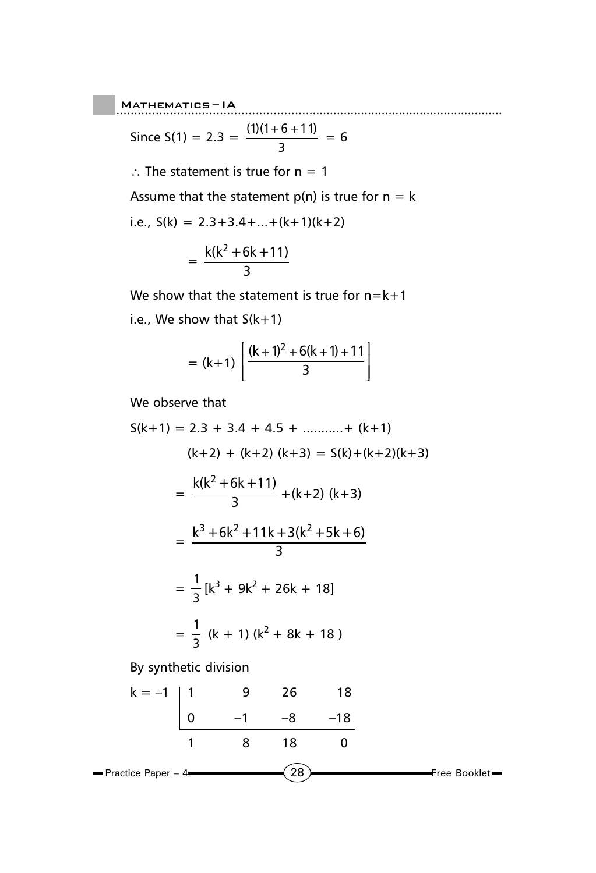Since S(1) = 2.3 = 
$$
\frac{(1)(1+6+11)}{3} = 6
$$

∴ The statement is true for  $n = 1$ 

Assume that the statement  $p(n)$  is true for  $n = k$ 

i.e., 
$$
S(k) = 2.3+3.4+...+(k+1)(k+2)
$$

$$
=\frac{k(k^2+6k+11)}{3}
$$

We show that the statement is true for  $n=k+1$ i.e., We show that  $S(k+1)$ 

$$
= (k+1) \left[ \frac{(k+1)^2 + 6(k+1) + 11}{3} \right]
$$

We observe that

$$
S(k+1) = 2 \cdot 3 + 3 \cdot 4 + 4 \cdot 5 + \dots + (k+1)
$$
\n
$$
(k+2) + (k+2) (k+3) = S(k) + (k+2)(k+3)
$$
\n
$$
= \frac{k(k^2 + 6k + 11)}{3} + (k+2) (k+3)
$$
\n
$$
= \frac{k^3 + 6k^2 + 11k + 3(k^2 + 5k + 6)}{3}
$$
\n
$$
= \frac{1}{3} [k^3 + 9k^2 + 26k + 18]
$$
\n
$$
= \frac{1}{3} (k+1) (k^2 + 8k + 18)
$$

By synthetic division

$$
k = -1
$$
\n

| 1 | 9  | 26 | 18  |
|---|----|----|-----|
| 0 | -1 | -8 | -18 |
| 1 | 8  | 18 | 0   |

\nPractice Paper - 4

\n

| 28 | Free Booklet |
|----|--------------|
|----|--------------|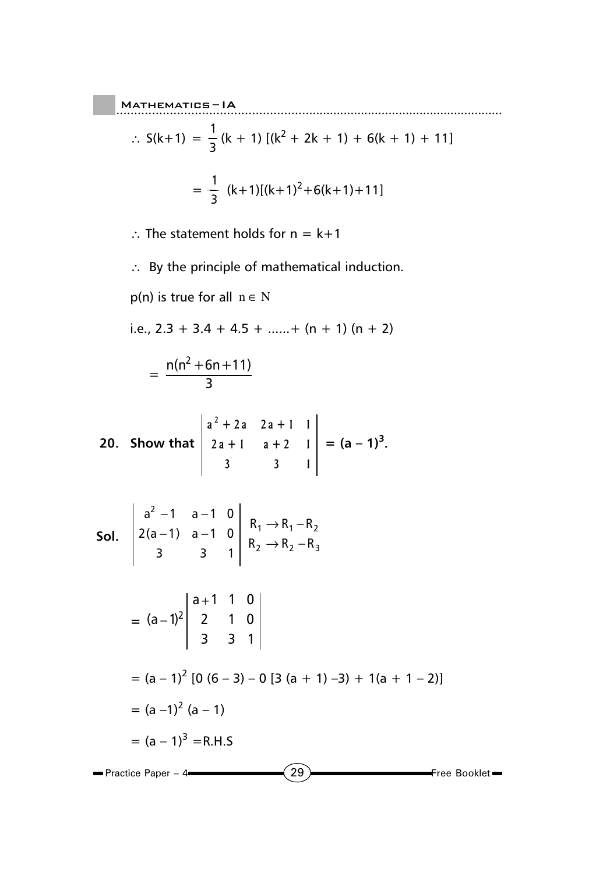$$
\therefore S(k+1) = \frac{1}{3} (k+1) [(k^2 + 2k + 1) + 6(k+1) + 11]
$$
  
=  $\frac{1}{3} (k+1) [(k+1)^2 + 6(k+1) + 11]$ 

∴ The statement holds for  $n = k+1$ 

∴ By the principle of mathematical induction.

 $p(n)$  is true for all  $n \in N$ 

i.e.,  $2.3 + 3.4 + 4.5 + \ldots + (n + 1) (n + 2)$ 

$$
=\frac{n(n^2+6n+11)}{3}
$$

20. Show that 
$$
\begin{vmatrix} a^2 + 2a & 2a + 1 & 1 \ 2a + 1 & a + 2 & 1 \ 3 & 3 & 1 \end{vmatrix} = (a - 1)^3.
$$

**Sol.** 
$$
\begin{vmatrix} a^2 - 1 & a - 1 & 0 \ 2(a - 1) & a - 1 & 0 \ 3 & 3 & 1 \end{vmatrix} \xrightarrow{R_1 \rightarrow R_1 - R_2} \xrightarrow{R_2 - R_3}
$$

$$
= (a-1)^{2} \begin{vmatrix} a+1 & 1 & 0 \\ 2 & 1 & 0 \\ 3 & 3 & 1 \end{vmatrix}
$$
  
= (a-1)<sup>2</sup> [0 (6-3) - 0 [3 (a + 1) -3) + 1(a + 1 - 2)]  
= (a-1)<sup>2</sup> (a - 1)  
= (a-1)<sup>3</sup> = R.H.S

 $(29)$  Free Booklet  $\blacksquare$  Practice Paper – 4 $\blacksquare$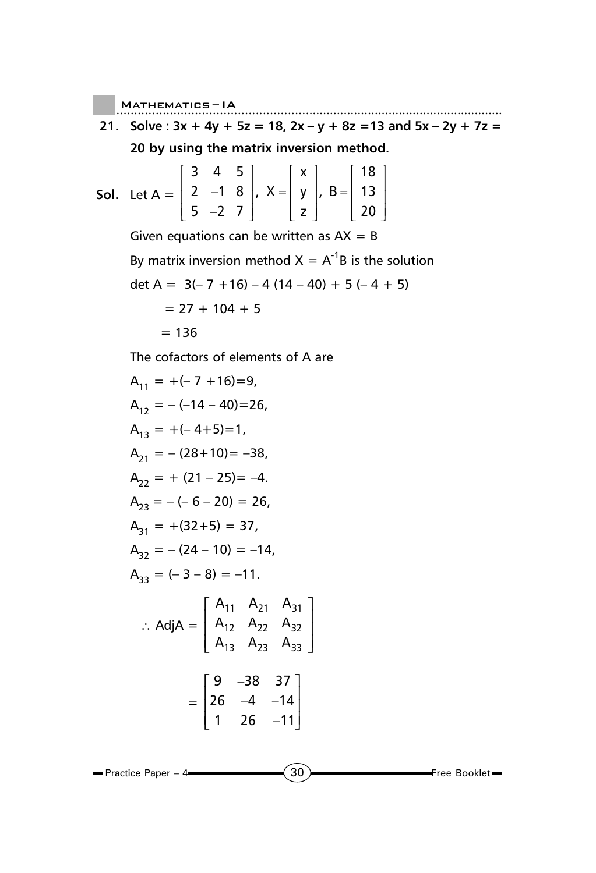$M$ ATHEMATICS-IA

**21. Solve : 3x + 4y + 5z = 18, 2x – y + 8z =13 and 5x – 2y + 7z = 20 by using the matrix inversion method.**

Mathematics ......................................................... – IA

**Sol.** Let 
$$
A = \begin{bmatrix} 3 & 4 & 5 \\ 2 & -1 & 8 \\ 5 & -2 & 7 \end{bmatrix}
$$
,  $X = \begin{bmatrix} x \\ y \\ z \end{bmatrix}$ ,  $B = \begin{bmatrix} 18 \\ 13 \\ 20 \end{bmatrix}$ 

Given equations can be written as  $AX = B$ 

By matrix inversion method  $X = A^{-1}B$  is the solution

$$
\det A = 3(-7 + 16) - 4(14 - 40) + 5(-4 + 5)
$$

$$
= 27 + 104 + 5
$$

$$
= 136
$$

The cofactors of elements of A are

$$
A_{11} = +(-7 + 16) = 9,
$$
  
\n
$$
A_{12} = -(-14 - 40) = 26,
$$
  
\n
$$
A_{13} = +(-4 + 5) = 1,
$$
  
\n
$$
A_{21} = -(28 + 10) = -38,
$$
  
\n
$$
A_{22} = + (21 - 25) = -4.
$$
  
\n
$$
A_{23} = -(-6 - 20) = 26,
$$
  
\n
$$
A_{31} = +(32 + 5) = 37,
$$
  
\n
$$
A_{32} = -(24 - 10) = -14,
$$
  
\n
$$
A_{33} = (-3 - 8) = -11.
$$
  
\n
$$
\therefore \text{ Adj } A = \begin{bmatrix} A_{11} & A_{21} & A_{31} \\ A_{12} & A_{22} & A_{32} \\ A_{13} & A_{23} & A_{33} \end{bmatrix}
$$
  
\n
$$
= \begin{bmatrix} 9 & -38 & 37 \\ 26 & -4 & -14 \\ 1 & 26 & -11 \end{bmatrix}
$$

**Practice Paper – 4** 

 $\left(30\right)$  Free Booklet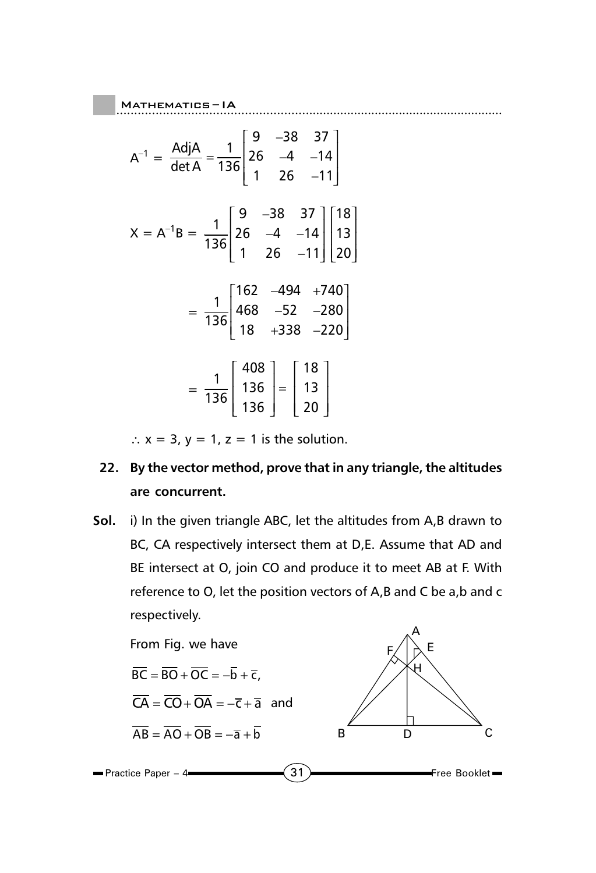$$
A^{-1} = \frac{Adj A}{det A} = \frac{1}{136} \begin{bmatrix} 9 & -38 & 37 \\ 26 & -4 & -14 \\ 1 & 26 & -11 \end{bmatrix}
$$
  
\n
$$
X = A^{-1}B = \frac{1}{136} \begin{bmatrix} 9 & -38 & 37 \\ 26 & -4 & -14 \\ 1 & 26 & -11 \end{bmatrix} \begin{bmatrix} 18 \\ 13 \\ 20 \end{bmatrix}
$$
  
\n
$$
= \frac{1}{136} \begin{bmatrix} 162 & -494 & +740 \\ 468 & -52 & -280 \\ 18 & +338 & -220 \end{bmatrix}
$$
  
\n
$$
= \frac{1}{136} \begin{bmatrix} 408 \\ 136 \\ 136 \end{bmatrix} = \begin{bmatrix} 18 \\ 13 \\ 20 \end{bmatrix}
$$

 $\therefore$  x = 3, y = 1, z = 1 is the solution.

## **22. By the vector method, prove that in any triangle, the altitudes are concurrent.**

**Sol.** i) In the given triangle ABC, let the altitudes from A,B drawn to BC, CA respectively intersect them at D,E. Assume that AD and BE intersect at O, join CO and produce it to meet AB at F. With reference to O, let the position vectors of A,B and C be a,b and c respectively.

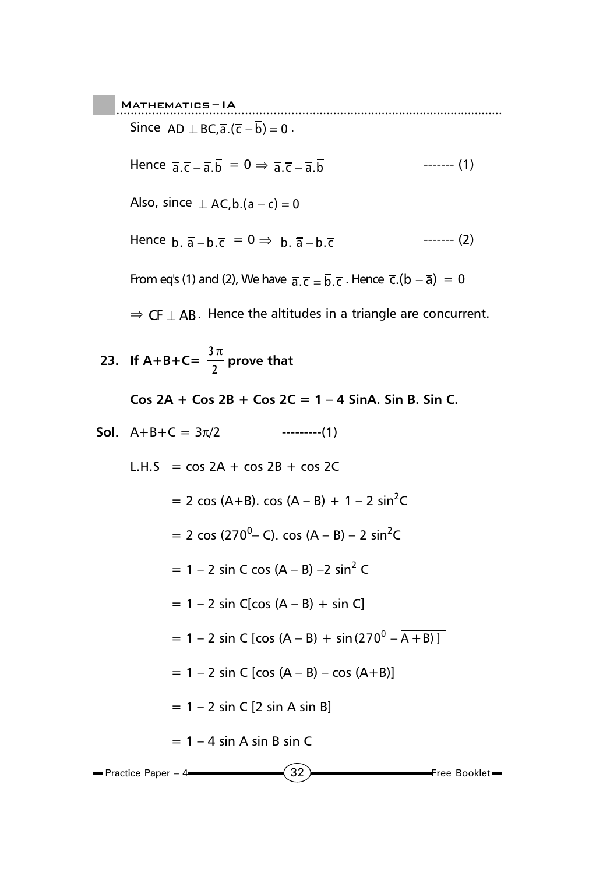